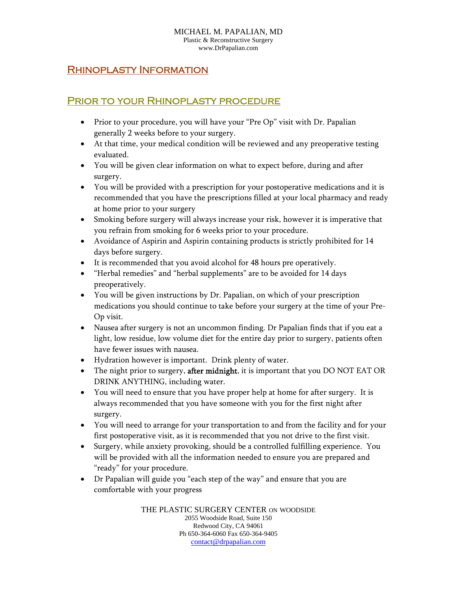#### MICHAEL M. PAPALIAN, MD Plastic & Reconstructive Surgery www.DrPapalian.com

#### Rhinoplasty Information

### Prior to your Rhinoplasty procedure

- Prior to your procedure, you will have your "Pre Op" visit with Dr. Papalian generally 2 weeks before to your surgery.
- At that time, your medical condition will be reviewed and any preoperative testing evaluated.
- You will be given clear information on what to expect before, during and after surgery.
- You will be provided with a prescription for your postoperative medications and it is recommended that you have the prescriptions filled at your local pharmacy and ready at home prior to your surgery
- Smoking before surgery will always increase your risk, however it is imperative that you refrain from smoking for 6 weeks prior to your procedure.
- Avoidance of Aspirin and Aspirin containing products is strictly prohibited for 14 days before surgery.
- It is recommended that you avoid alcohol for 48 hours pre operatively.
- "Herbal remedies" and "herbal supplements" are to be avoided for 14 days preoperatively.
- You will be given instructions by Dr. Papalian, on which of your prescription medications you should continue to take before your surgery at the time of your Pre-Op visit.
- Nausea after surgery is not an uncommon finding. Dr Papalian finds that if you eat a light, low residue, low volume diet for the entire day prior to surgery, patients often have fewer issues with nausea.
- Hydration however is important. Drink plenty of water.
- The night prior to surgery, **after midnight**, it is important that you DO NOT EAT OR DRINK ANYTHING, including water.
- You will need to ensure that you have proper help at home for after surgery. It is always recommended that you have someone with you for the first night after surgery.
- You will need to arrange for your transportation to and from the facility and for your first postoperative visit, as it is recommended that you not drive to the first visit.
- Surgery, while anxiety provoking, should be a controlled fulfilling experience. You will be provided with all the information needed to ensure you are prepared and "ready" for your procedure.
- Dr Papalian will guide you "each step of the way" and ensure that you are comfortable with your progress

THE PLASTIC SURGERY CENTER ON WOODSIDE 2055 Woodside Road, Suite 150 Redwood City, CA 94061 Ph 650-364-6060 Fax 650-364-9405 contact@drpapalian.com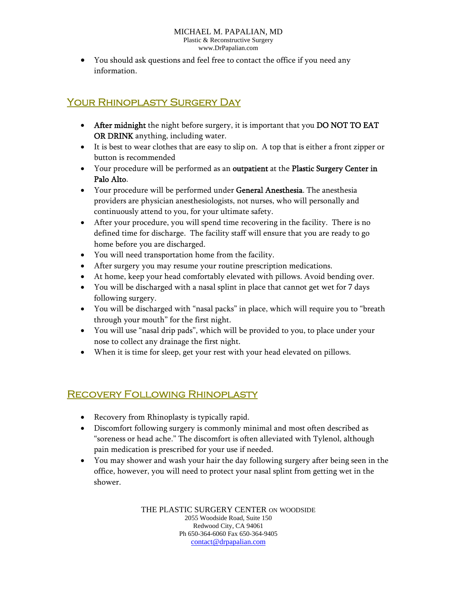You should ask questions and feel free to contact the office if you need any information.

# YOUR RHINOPLASTY SURGERY DAY

- After midnight the night before surgery, it is important that you DO NOT TO EAT OR DRINK anything, including water.
- It is best to wear clothes that are easy to slip on. A top that is either a front zipper or button is recommended
- Your procedure will be performed as an outpatient at the Plastic Surgery Center in Palo Alto.
- Your procedure will be performed under General Anesthesia. The anesthesia providers are physician anesthesiologists, not nurses, who will personally and continuously attend to you, for your ultimate safety.
- After your procedure, you will spend time recovering in the facility. There is no defined time for discharge. The facility staff will ensure that you are ready to go home before you are discharged.
- You will need transportation home from the facility.
- After surgery you may resume your routine prescription medications.
- At home, keep your head comfortably elevated with pillows. Avoid bending over.
- You will be discharged with a nasal splint in place that cannot get wet for 7 days following surgery.
- You will be discharged with "nasal packs" in place, which will require you to "breath through your mouth" for the first night.
- You will use "nasal drip pads", which will be provided to you, to place under your nose to collect any drainage the first night.
- When it is time for sleep, get your rest with your head elevated on pillows.

## Recovery Following Rhinoplasty

- Recovery from Rhinoplasty is typically rapid.
- Discomfort following surgery is commonly minimal and most often described as "soreness or head ache." The discomfort is often alleviated with Tylenol, although pain medication is prescribed for your use if needed.
- You may shower and wash your hair the day following surgery after being seen in the office, however, you will need to protect your nasal splint from getting wet in the shower.

THE PLASTIC SURGERY CENTER ON WOODSIDE 2055 Woodside Road, Suite 150 Redwood City, CA 94061 Ph 650-364-6060 Fax 650-364-9405 contact@drpapalian.com